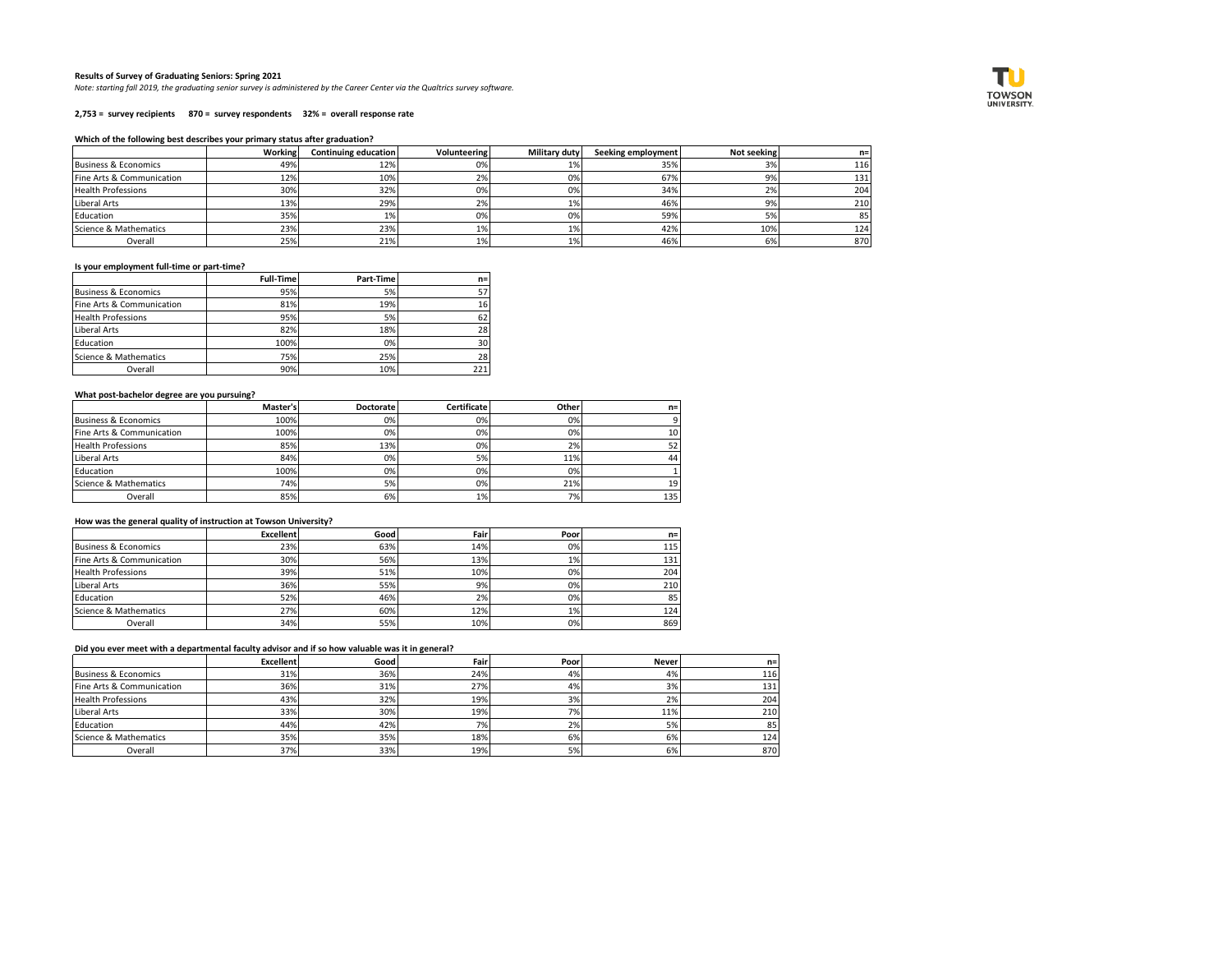### **Results of Survey of Graduating Seniors: Spring 2021**

*Note: starting fall 2019, the graduating senior survey is administered by the Career Center via the Qualtrics survey software.*

#### **2,753 = survey recipients 870 = survey respondents 32% = overall response rate**

### **Which of the following best describes your primary status after graduation?**

|                           | Working | Continuing education | Volunteering | Military duty | <b>Seeking employment</b> | Not seeking | n=   |
|---------------------------|---------|----------------------|--------------|---------------|---------------------------|-------------|------|
| Business & Economics      | 49%     | 12%                  | 0%           | 1%            | 35%                       | 3%          | 116  |
| Fine Arts & Communication | 12%     | 10%                  | 2%           | 0%            | 67%                       |             | 131  |
| <b>Health Professions</b> | 30%     | 32%                  | 0%           | 0%            | 34%                       | 2%          | 204  |
| Liberal Arts              | 13%     | 29%                  | 2%           | 1%            | 46%                       | 9%          | 210  |
| Education                 | 35%     | 1%                   | 0%           | 0%            | 59%                       |             | 85 I |
| Science & Mathematics     | 23%     | 23%                  | 1%           | 1%            | 42%                       | 10%         | 124  |
| Overall                   | 25%     | 21%                  | 1%           | 1%            | 46%                       | 6%          | 870  |

### **Is your employment full-time or part-time?**

|                                 | <b>Full-Time</b> | Part-Time | $n=$ |
|---------------------------------|------------------|-----------|------|
| <b>Business &amp; Economics</b> | 95%              | 5%        | 57   |
| Fine Arts & Communication       | 81%              | 19%       | 16   |
| <b>Health Professions</b>       | 95%              | 5%        | 62   |
| Liberal Arts                    | 82%              | 18%       | 28   |
| Education                       | 100%             | 0%        | 30   |
| Science & Mathematics           | 75%              | 25%       | 28   |
| Overall                         | 90%              | 10%       | 221  |

### **What post-bachelor degree are you pursuing?**

|                                 | Master's | <b>Doctorate</b> | Certificate | Other | $n =$ |
|---------------------------------|----------|------------------|-------------|-------|-------|
| <b>Business &amp; Economics</b> | 100%     | 0%               | 0%          | 0%    |       |
| Fine Arts & Communication       | 100%     | 0%               | 0%          | 0%    | 10    |
| <b>Health Professions</b>       | 85%      | 13%              | 0%          | 2%    |       |
| Liberal Arts                    | 84%      | 0%               | 5%          | 11%   | 44    |
| Education                       | 100%     | 0%               | 0%          | 0%    |       |
| Science & Mathematics           | 74%      | 5%               | 0%          | 21%   | 19    |
| Overall                         | 85%      | 6%               | 1%          | 7%    | 135   |

### **How was the general quality of instruction at Towson University?**

|                                 | <b>Excellent</b> | Good | Fairl | Poor | $n=$ |
|---------------------------------|------------------|------|-------|------|------|
| <b>Business &amp; Economics</b> | 23%              | 63%  | 14%   | 0%   | 115  |
| Fine Arts & Communication       | 30%              | 56%  | 13%   | 1%   | 131  |
| <b>Health Professions</b>       | 39%              | 51%  | 10%   | 0%   | 204  |
| Liberal Arts                    | 36%              | 55%  | 9%    | 0%   | 210  |
| Education                       | 52%              | 46%  | 2%    | 0%   | 85   |
| Science & Mathematics           | 27%              | 60%  | 12%   | 1%   | 124  |
| Overall                         | 34%              | 55%  | 10%   | 0%   | 869  |

# **Did you ever meet with a departmental faculty advisor and if so how valuable was it in general?**

|                           | Excellent | Good | Fair | Poor | <b>Never</b> | $n =$            |
|---------------------------|-----------|------|------|------|--------------|------------------|
| Business & Economics      | 31%       | 36%  | 24%  | 4%   | 4%           | 116              |
| Fine Arts & Communication | 36%       | 31%  | 27%  | 4%   | 3%           | 131              |
| <b>Health Professions</b> | 43%       | 32%  | 19%  | 3%   | 2%           | 204              |
| Liberal Arts              | 33%       | 30%  | 19%  | 7%   | 11%          | 210              |
| Education                 | 44%       | 42%  | 7%1  | 2%   | 5%           | 85               |
| Science & Mathematics     | 35%       | 35%  | 18%  | 6%   | 6%           | 124 <sub>1</sub> |
| Overall                   | 37%       | 33%  | 19%  | 5%   | 6%           | 870              |